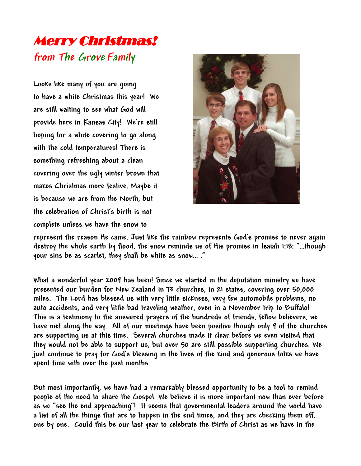## Merry Christmas! **from The Grove Family**

**Looks like many of you are going to have a white Christmas this year! We are still waiting to see what God will provide here in Kansas City! We're still hoping for a white covering to go along with the cold temperatures! There is something refreshing about a clean covering over the ugly winter brown that makes Christmas more festive. Maybe it is because we are from the North, but the celebration of Christ's birth is not complete unless we have the snow to**



**represent the reason He came. Just like the rainbow represents God's promise to never again destroy the whole earth by flood, the snow reminds us of His promise in Isaiah 1:18: "…though your sins be as scarlet, they shall be white as snow… ."**

**What a wonderful year 2009 has been! Since we started in the deputation ministry we have presented our burden for New Zealand in 73 churches, in 21 states, covering over 50,000 miles. The Lord has blessed us with very little sickness, very few automobile problems, no auto accidents, and very little bad traveling weather, even in a November trip to Buffalo! This is a testimony to the answered prayers of the hundreds of friends, fellow believers, we have met along the way. All of our meetings have been positive though only 9 of the churches are supporting us at this time. Several churches made it clear before we even visited that they would not be able to support us, but over 50 are still possible supporting churches. We just continue to pray for God's blessing in the lives of the kind and generous folks we have spent time with over the past months.**

**But most importantly, we have had a remarkably blessed opportunity to be a tool to remind people of the need to share the Gospel. We believe it is more important now than ever before as we "see the end approaching"! It seems that governmental leaders around the world have a list of all the things that are to happen in the end times, and they are checking them off, one by one. Could this be our last year to celebrate the Birth of Christ as we have in the**